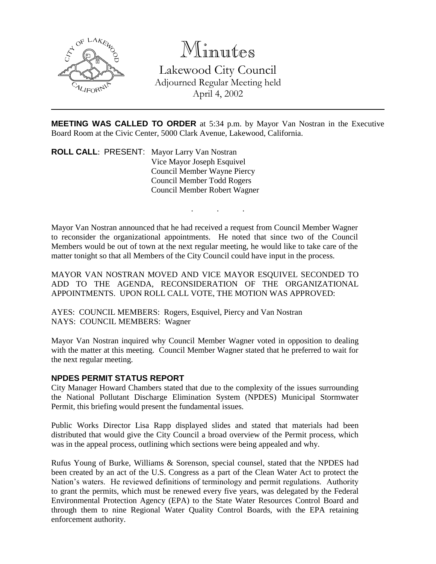

Minutes

Lakewood City Council Adjourned Regular Meeting held April 4, 2002

**MEETING WAS CALLED TO ORDER** at 5:34 p.m. by Mayor Van Nostran in the Executive Board Room at the Civic Center, 5000 Clark Avenue, Lakewood, California.

. . .

**ROLL CALL**: PRESENT: Mayor Larry Van Nostran Vice Mayor Joseph Esquivel Council Member Wayne Piercy Council Member Todd Rogers Council Member Robert Wagner

Mayor Van Nostran announced that he had received a request from Council Member Wagner to reconsider the organizational appointments. He noted that since two of the Council Members would be out of town at the next regular meeting, he would like to take care of the matter tonight so that all Members of the City Council could have input in the process.

MAYOR VAN NOSTRAN MOVED AND VICE MAYOR ESQUIVEL SECONDED TO ADD TO THE AGENDA, RECONSIDERATION OF THE ORGANIZATIONAL APPOINTMENTS. UPON ROLL CALL VOTE, THE MOTION WAS APPROVED:

AYES: COUNCIL MEMBERS: Rogers, Esquivel, Piercy and Van Nostran NAYS: COUNCIL MEMBERS: Wagner

Mayor Van Nostran inquired why Council Member Wagner voted in opposition to dealing with the matter at this meeting. Council Member Wagner stated that he preferred to wait for the next regular meeting.

## **NPDES PERMIT STATUS REPORT**

City Manager Howard Chambers stated that due to the complexity of the issues surrounding the National Pollutant Discharge Elimination System (NPDES) Municipal Stormwater Permit, this briefing would present the fundamental issues.

Public Works Director Lisa Rapp displayed slides and stated that materials had been distributed that would give the City Council a broad overview of the Permit process, which was in the appeal process, outlining which sections were being appealed and why.

Rufus Young of Burke, Williams & Sorenson, special counsel, stated that the NPDES had been created by an act of the U.S. Congress as a part of the Clean Water Act to protect the Nation's waters. He reviewed definitions of terminology and permit regulations. Authority to grant the permits, which must be renewed every five years, was delegated by the Federal Environmental Protection Agency (EPA) to the State Water Resources Control Board and through them to nine Regional Water Quality Control Boards, with the EPA retaining enforcement authority.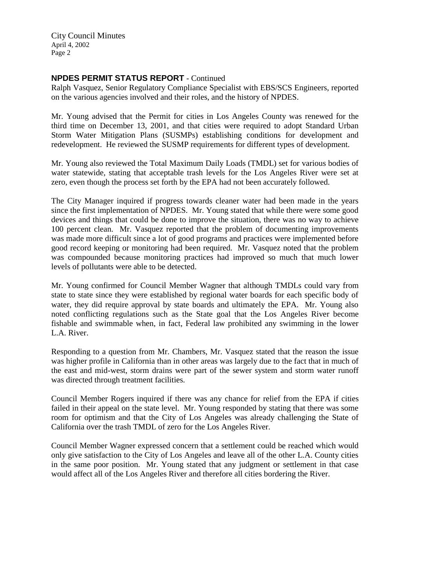City Council Minutes April 4, 2002 Page 2

# **NPDES PERMIT STATUS REPORT** - Continued

Ralph Vasquez, Senior Regulatory Compliance Specialist with EBS/SCS Engineers, reported on the various agencies involved and their roles, and the history of NPDES.

Mr. Young advised that the Permit for cities in Los Angeles County was renewed for the third time on December 13, 2001, and that cities were required to adopt Standard Urban Storm Water Mitigation Plans (SUSMPs) establishing conditions for development and redevelopment. He reviewed the SUSMP requirements for different types of development.

Mr. Young also reviewed the Total Maximum Daily Loads (TMDL) set for various bodies of water statewide, stating that acceptable trash levels for the Los Angeles River were set at zero, even though the process set forth by the EPA had not been accurately followed.

The City Manager inquired if progress towards cleaner water had been made in the years since the first implementation of NPDES. Mr. Young stated that while there were some good devices and things that could be done to improve the situation, there was no way to achieve 100 percent clean. Mr. Vasquez reported that the problem of documenting improvements was made more difficult since a lot of good programs and practices were implemented before good record keeping or monitoring had been required. Mr. Vasquez noted that the problem was compounded because monitoring practices had improved so much that much lower levels of pollutants were able to be detected.

Mr. Young confirmed for Council Member Wagner that although TMDLs could vary from state to state since they were established by regional water boards for each specific body of water, they did require approval by state boards and ultimately the EPA. Mr. Young also noted conflicting regulations such as the State goal that the Los Angeles River become fishable and swimmable when, in fact, Federal law prohibited any swimming in the lower L.A. River.

Responding to a question from Mr. Chambers, Mr. Vasquez stated that the reason the issue was higher profile in California than in other areas was largely due to the fact that in much of the east and mid-west, storm drains were part of the sewer system and storm water runoff was directed through treatment facilities.

Council Member Rogers inquired if there was any chance for relief from the EPA if cities failed in their appeal on the state level. Mr. Young responded by stating that there was some room for optimism and that the City of Los Angeles was already challenging the State of California over the trash TMDL of zero for the Los Angeles River.

Council Member Wagner expressed concern that a settlement could be reached which would only give satisfaction to the City of Los Angeles and leave all of the other L.A. County cities in the same poor position. Mr. Young stated that any judgment or settlement in that case would affect all of the Los Angeles River and therefore all cities bordering the River.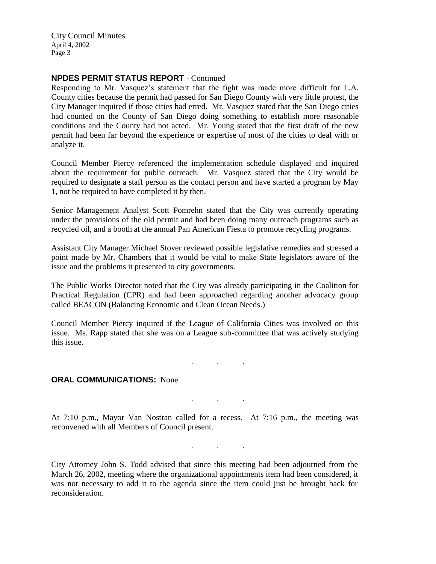City Council Minutes April 4, 2002 Page 3

## **NPDES PERMIT STATUS REPORT** - Continued

Responding to Mr. Vasquez's statement that the fight was made more difficult for L.A. County cities because the permit had passed for San Diego County with very little protest, the City Manager inquired if those cities had erred. Mr. Vasquez stated that the San Diego cities had counted on the County of San Diego doing something to establish more reasonable conditions and the County had not acted. Mr. Young stated that the first draft of the new permit had been far beyond the experience or expertise of most of the cities to deal with or analyze it.

Council Member Piercy referenced the implementation schedule displayed and inquired about the requirement for public outreach. Mr. Vasquez stated that the City would be required to designate a staff person as the contact person and have started a program by May 1, not be required to have completed it by then.

Senior Management Analyst Scott Pomrehn stated that the City was currently operating under the provisions of the old permit and had been doing many outreach programs such as recycled oil, and a booth at the annual Pan American Fiesta to promote recycling programs.

Assistant City Manager Michael Stover reviewed possible legislative remedies and stressed a point made by Mr. Chambers that it would be vital to make State legislators aware of the issue and the problems it presented to city governments.

The Public Works Director noted that the City was already participating in the Coalition for Practical Regulation (CPR) and had been approached regarding another advocacy group called BEACON (Balancing Economic and Clean Ocean Needs.)

Council Member Piercy inquired if the League of California Cities was involved on this issue. Ms. Rapp stated that she was on a League sub-committee that was actively studying this issue.

. . .

. . .

. . .

#### **ORAL COMMUNICATIONS: None**

At 7:10 p.m., Mayor Van Nostran called for a recess. At 7:16 p.m., the meeting was reconvened with all Members of Council present.

City Attorney John S. Todd advised that since this meeting had been adjourned from the March 26, 2002, meeting where the organizational appointments item had been considered, it was not necessary to add it to the agenda since the item could just be brought back for reconsideration.